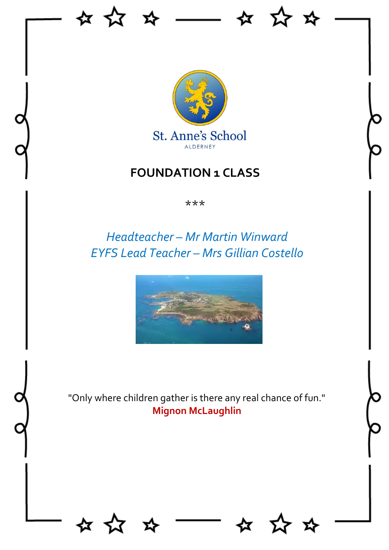

 $\overline{\phantom{a}}$ 

な ☆

☆ ☆

## **FOUNDATION 1 CLASS**

\*\*\*

# *Headteacher – Mr Martin Winward EYFS Lead Teacher – Mrs Gillian Costello*



"Only where children gather is there any real chance of fun." **Mignon McLaughlin**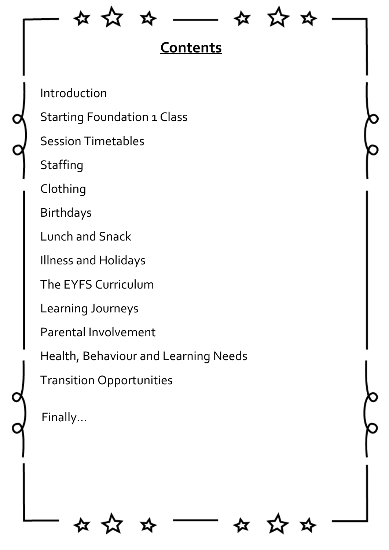☆☆☆

玲

# **Contents**

Introduction

Starting Foundation 1 Class

Session Timetables

**Staffing** 

Clothing

Birthdays

Lunch and Snack

Illness and Holidays

The EYFS Curriculum

Learning Journeys

Parental Involvement

Health, Behaviour and Learning Needs

Transition Opportunities

Finally…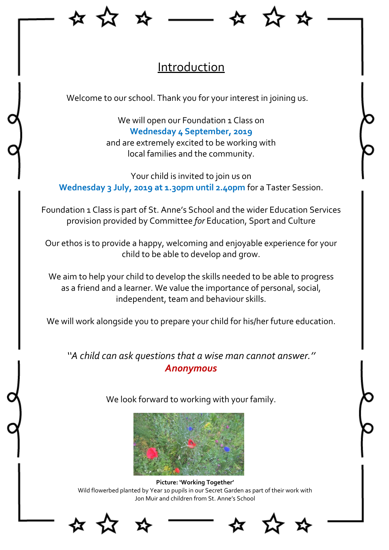

## **Introduction**

Welcome to our school. Thank you for your interest in joining us.

We will open our Foundation 1 Class on **Wednesday 4 September, 2019** and are extremely excited to be working with local families and the community.

Your child is invited to join us on **Wednesday 3 July, 2019 at 1.30pm until 2.40pm** for a Taster Session.

Foundation 1 Class is part of St. Anne's School and the wider Education Services provision provided by Committee *for* Education, Sport and Culture

Our ethos is to provide a happy, welcoming and enjoyable experience for your child to be able to develop and grow.

We aim to help your child to develop the skills needed to be able to progress as a friend and a learner. We value the importance of personal, social, independent, team and behaviour skills.

We will work alongside you to prepare your child for his/her future education.

*''A child can ask questions that a wise man cannot answer.'' [Anonymous](http://www.famousquotes123.com/anonymous-quotes.html)*



**Picture: 'Working Together'**  Wild flowerbed planted by Year 10 pupils in our Secret Garden as part of their work with Jon Muir and children from St. Anne's School





We look forward to working with your family.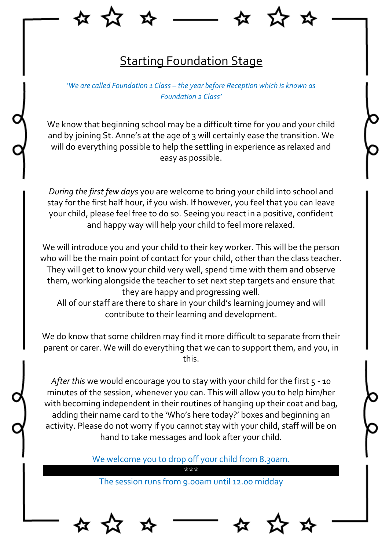

#### **Starting Foundation Stage**

*'We are called Foundation 1 Class – the year before Reception which is known as Foundation 2 Class'*

We know that beginning school may be a difficult time for you and your child and by joining St. Anne's at the age of 3 will certainly ease the transition. We will do everything possible to help the settling in experience as relaxed and easy as possible.

*During the first few days* you are welcome to bring your child into school and stay for the first half hour, if you wish. If however, you feel that you can leave your child, please feel free to do so. Seeing you react in a positive, confident and happy way will help your child to feel more relaxed.

We will introduce you and your child to their key worker. This will be the person who will be the main point of contact for your child, other than the class teacher. They will get to know your child very well, spend time with them and observe them, working alongside the teacher to set next step targets and ensure that they are happy and progressing well.

All of our staff are there to share in your child's learning journey and will contribute to their learning and development.

We do know that some children may find it more difficult to separate from their parent or carer. We will do everything that we can to support them, and you, in this.

*After this* we would encourage you to stay with your child for the first 5 - 10 minutes of the session, whenever you can. This will allow you to help him/her with becoming independent in their routines of hanging up their coat and bag, adding their name card to the 'Who's here today?' boxes and beginning an activity. Please do not worry if you cannot stay with your child, staff will be on hand to take messages and look after your child.

We welcome you to drop off your child from 8.30am.

\*\*\*

The session runs from 9.00am until 12.00 midday



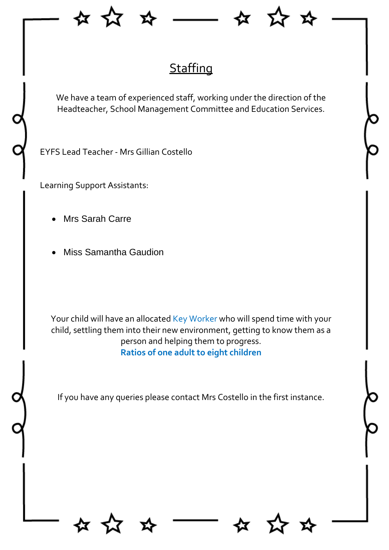



# **Staffing**

We have a team of experienced staff, working under the direction of the Headteacher, School Management Committee and Education Services.

EYFS Lead Teacher - Mrs Gillian Costello

Learning Support Assistants:

- Mrs Sarah Carre
- Miss Samantha Gaudion

Your child will have an allocated Key Worker who will spend time with your child, settling them into their new environment, getting to know them as a person and helping them to progress. **Ratios of one adult to eight children** 

If you have any queries please contact Mrs Costello in the first instance.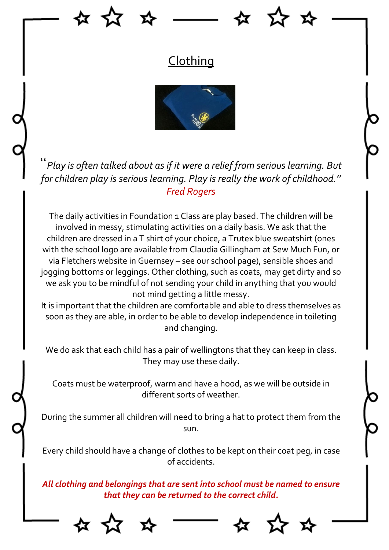

### **Clothing**



''*Play is often talked about as if it were a relief from serious learning. But for children play is serious learning. Play is really the work of childhood.'' Fred Rogers*

The daily activities in Foundation 1 Class are play based. The children will be involved in messy, stimulating activities on a daily basis. We ask that the children are dressed in a T shirt of your choice, a Trutex blue sweatshirt (ones with the school logo are available from Claudia Gillingham at Sew Much Fun, or via Fletchers website in Guernsey – see our school page), sensible shoes and jogging bottoms or leggings. Other clothing, such as coats, may get dirty and so we ask you to be mindful of not sending your child in anything that you would not mind getting a little messy.

It is important that the children are comfortable and able to dress themselves as soon as they are able, in order to be able to develop independence in toileting and changing.

We do ask that each child has a pair of wellingtons that they can keep in class. They may use these daily.

Coats must be waterproof, warm and have a hood, as we will be outside in different sorts of weather.

During the summer all children will need to bring a hat to protect them from the sun.

Every child should have a change of clothes to be kept on their coat peg, in case of accidents.

*All clothing and belongings that are sent into school must be named to ensure that they can be returned to the correct child.*







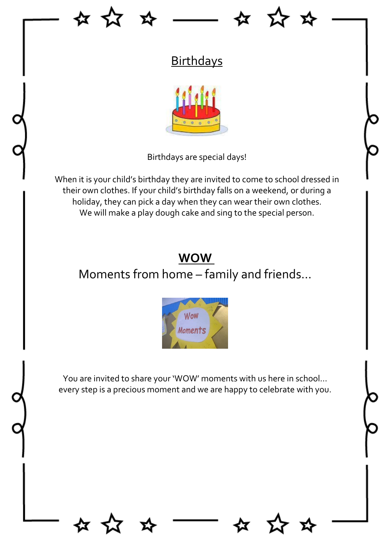



## **Birthdays**



Birthdays are special days!

When it is your child's birthday they are invited to come to school dressed in their own clothes. If your child's birthday falls on a weekend, or during a holiday, they can pick a day when they can wear their own clothes. We will make a play dough cake and sing to the special person.

#### **WOW**

## Moments from home – family and friends…



You are invited to share your 'WOW' moments with us here in school… every step is a precious moment and we are happy to celebrate with you.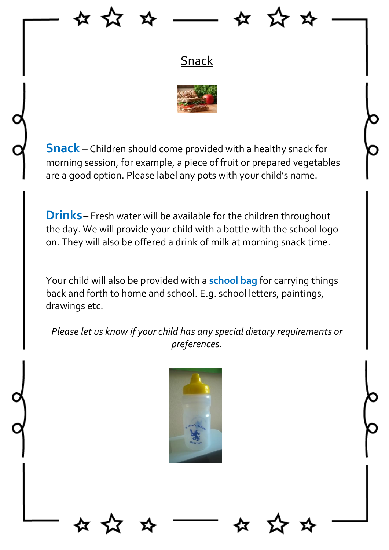



### **Snack**



**Snack** – Children should come provided with a healthy snack for morning session, for example, a piece of fruit or prepared vegetables are a good option. Please label any pots with your child's name.

**Drinks–** Fresh water will be available for the children throughout the day. We will provide your child with a bottle with the school logo on. They will also be offered a drink of milk at morning snack time.

Your child will also be provided with a **school bag** for carrying things back and forth to home and school. E.g. school letters, paintings, drawings etc.

*Please let us know if your child has any special dietary requirements or preferences.* 

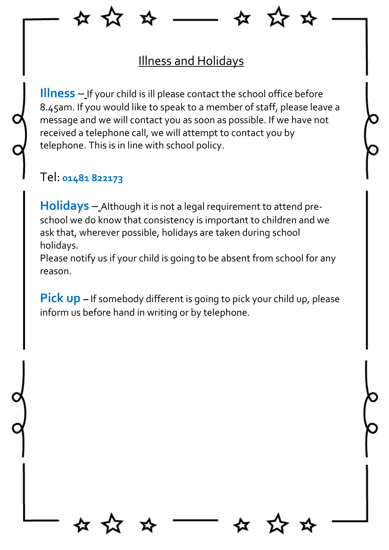

#### Illness and Holidays

**Illness** – If your child is ill please contact the school office before 8.45am. If you would like to speak to a member of staff, please leave a message and we will contact you as soon as possible. If we have not received a telephone call, we will attempt to contact you by telephone. This is in line with school policy.

#### Tel: **01481 822173**

**Holidays** – Although it is not a legal requirement to attend preschool we do know that consistency is important to children and we ask that, wherever possible, holidays are taken during school holidays.

Please notify us if your child is going to be absent from school for any reason.

**Pick up –** If somebody different is going to pick your child up, please inform us before hand in writing or by telephone.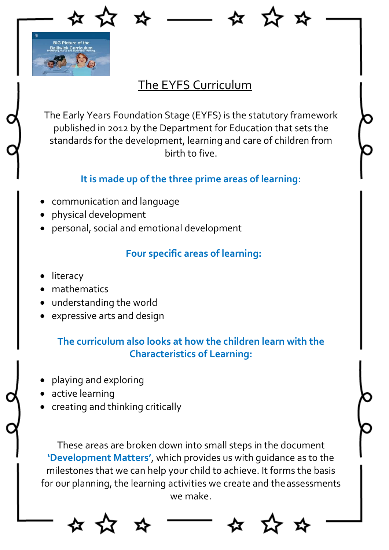

### The EYFS Curriculum

The Early Years Foundation Stage (EYFS) is the statutory framework published in 2012 by the Department for Education that sets the standards for the development, learning and care of children from birth to five.

#### **It is made up of the three prime areas of learning:**

- communication and language
- physical development
- personal, social and emotional development

#### **Four specific areas of learning:**

- literacy
- mathematics
- understanding the world
- expressive arts and design

#### **The curriculum also looks at how the children learn with the Characteristics of Learning:**

- playing and exploring
- active learning
- creating and thinking critically

These areas are broken down into small steps in the document **'Development Matters'**, which provides us with guidance as to the milestones that we can help your child to achieve. It forms the basis for our planning, the learning activities we create and the assessments we make.

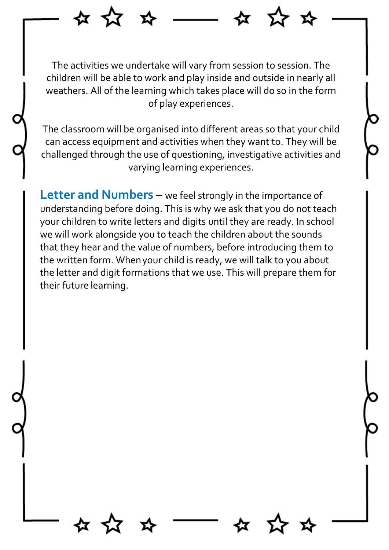The activities we undertake will vary from session to session. The children will be able to work and play inside and outside in nearly all weathers. All of the learning which takes place will do so in the form of play experiences.

잡 자

<u> ≺አ</u>

The classroom will be organised into different areas so that your child can access equipment and activities when they want to. They will be challenged through the use of questioning, investigative activities and varying learning experiences.

**Letter and Numbers** – we feel strongly in the importance of understanding before doing. This is why we ask that you do not teach your children to write letters and digits until they are ready. In school we will work alongside you to teach the children about the sounds that they hear and the value of numbers, before introducing them to the written form. Whenyour child is ready, we will talk to you about the letter and digit formations that we use. This will prepare them for their future learning.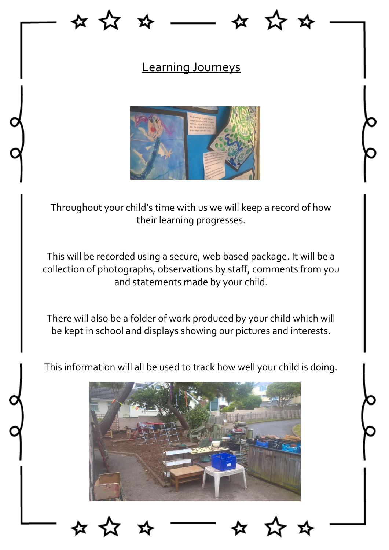### Learning Journeys



Throughout your child's time with us we will keep a record of how their learning progresses.

This will be recorded using a secure, web based package. It will be a collection of photographs, observations by staff, comments from you and statements made by your child.

There will also be a folder of work produced by your child which will be kept in school and displays showing our pictures and interests.



This information will all be used to track how well your child is doing.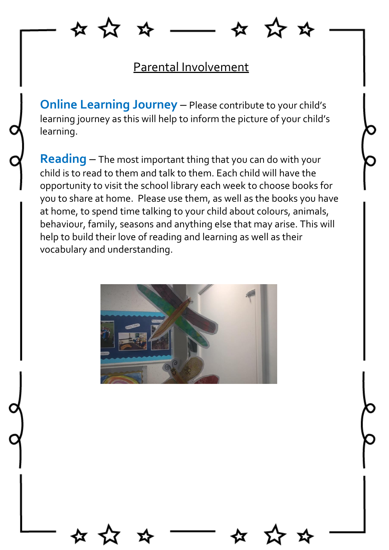☆ ☆

**ZY 23** 

#### Parental Involvement

**Online Learning Journey** – Please contribute to your child's learning journey as this will help to inform the picture of your child's learning.

**Reading** – The most important thing that you can do with your child is to read to them and talk to them. Each child will have the opportunity to visit the school library each week to choose books for you to share at home. Please use them, as well as the books you have at home, to spend time talking to your child about colours, animals, behaviour, family, seasons and anything else that may arise. This will help to build their love of reading and learning as well as their vocabulary and understanding.

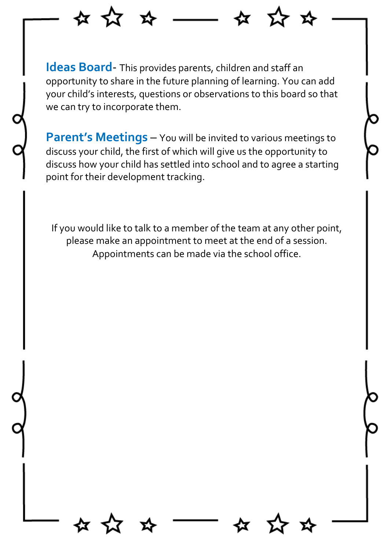**Ideas Board**- This provides parents, children and staff an opportunity to share in the future planning of learning. You can add your child's interests, questions or observations to this board so that we can try to incorporate them.

☆ ☆

≿ ⊀ፓ

**Parent's Meetings** – You will be invited to various meetings to discuss your child, the first of which will give us the opportunity to discuss how your child has settled into school and to agree a starting point for their development tracking.

If you would like to talk to a member of the team at any other point, please make an appointment to meet at the end of a session. Appointments can be made via the school office.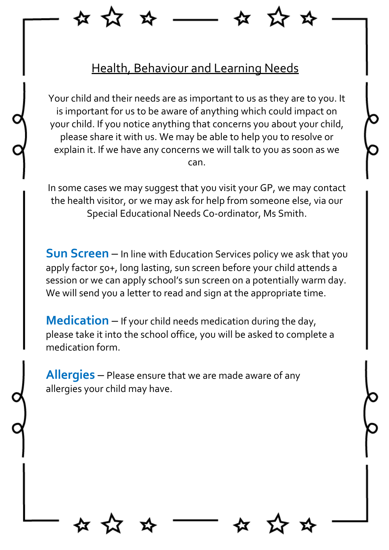

Your child and their needs are as important to us as they are to you. It is important for us to be aware of anything which could impact on your child. If you notice anything that concerns you about your child, please share it with us. We may be able to help you to resolve or explain it. If we have any concerns we will talk to you as soon as we can.

In some cases we may suggest that you visit your GP, we may contact the health visitor, or we may ask for help from someone else, via our Special Educational Needs Co-ordinator, Ms Smith.

**Sun Screen** – In line with Education Services policy we ask that you apply factor 50+, long lasting, sun screen before your child attends a session or we can apply school's sun screen on a potentially warm day. We will send you a letter to read and sign at the appropriate time.

**Medication** – If your child needs medication during the day, please take it into the school office, you will be asked to complete a medication form.

**Allergies** – Please ensure that we are made aware of any allergies your child may have.